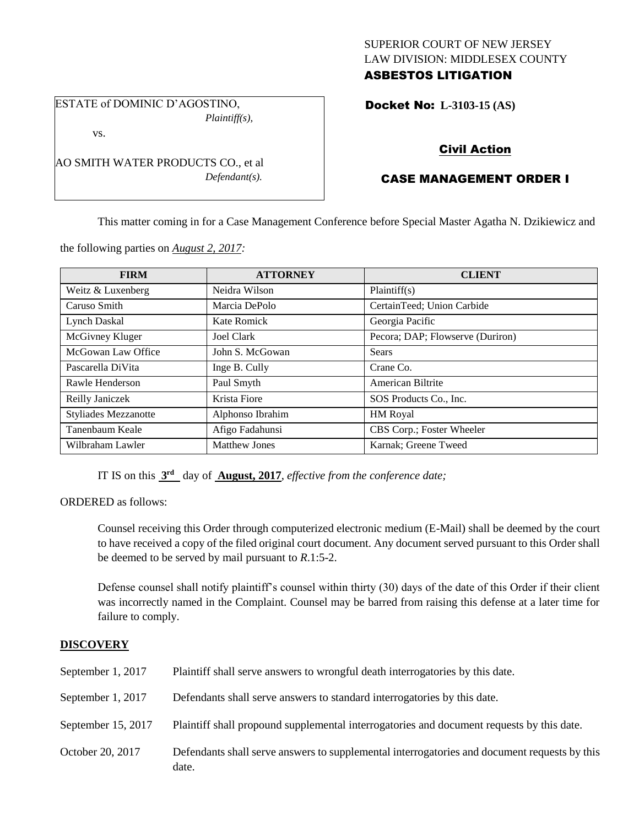# SUPERIOR COURT OF NEW JERSEY LAW DIVISION: MIDDLESEX COUNTY ASBESTOS LITIGATION

ESTATE of DOMINIC D'AGOSTINO, *Plaintiff(s),* vs.

AO SMITH WATER PRODUCTS CO., et al

*Defendant(s).*

Docket No: **L-3103-15 (AS)** 

# Civil Action

# CASE MANAGEMENT ORDER I

This matter coming in for a Case Management Conference before Special Master Agatha N. Dzikiewicz and

the following parties on *August 2, 2017:*

| <b>FIRM</b>                 | <b>ATTORNEY</b>      | <b>CLIENT</b>                    |
|-----------------------------|----------------------|----------------------------------|
| Weitz & Luxenberg           | Neidra Wilson        | Plaintiff(s)                     |
| Caruso Smith                | Marcia DePolo        | CertainTeed; Union Carbide       |
| <b>Lynch Daskal</b>         | Kate Romick          | Georgia Pacific                  |
| McGivney Kluger             | Joel Clark           | Pecora; DAP; Flowserve (Duriron) |
| McGowan Law Office          | John S. McGowan      | <b>Sears</b>                     |
| Pascarella DiVita           | Inge B. Cully        | Crane Co.                        |
| Rawle Henderson             | Paul Smyth           | American Biltrite                |
| Reilly Janiczek             | Krista Fiore         | SOS Products Co., Inc.           |
| <b>Styliades Mezzanotte</b> | Alphonso Ibrahim     | <b>HM</b> Royal                  |
| Tanenbaum Keale             | Afigo Fadahunsi      | CBS Corp.; Foster Wheeler        |
| Wilbraham Lawler            | <b>Matthew Jones</b> | Karnak; Greene Tweed             |

IT IS on this **3 rd** day of **August, 2017**, *effective from the conference date;*

ORDERED as follows:

Counsel receiving this Order through computerized electronic medium (E-Mail) shall be deemed by the court to have received a copy of the filed original court document. Any document served pursuant to this Order shall be deemed to be served by mail pursuant to *R*.1:5-2.

Defense counsel shall notify plaintiff's counsel within thirty (30) days of the date of this Order if their client was incorrectly named in the Complaint. Counsel may be barred from raising this defense at a later time for failure to comply.

# **DISCOVERY**

| September 1, 2017  | Plaintiff shall serve answers to wrongful death interrogatories by this date.                         |
|--------------------|-------------------------------------------------------------------------------------------------------|
| September 1, 2017  | Defendants shall serve answers to standard interrogatories by this date.                              |
| September 15, 2017 | Plaintiff shall propound supplemental interrogatories and document requests by this date.             |
| October 20, 2017   | Defendants shall serve answers to supplemental interrogatories and document requests by this<br>date. |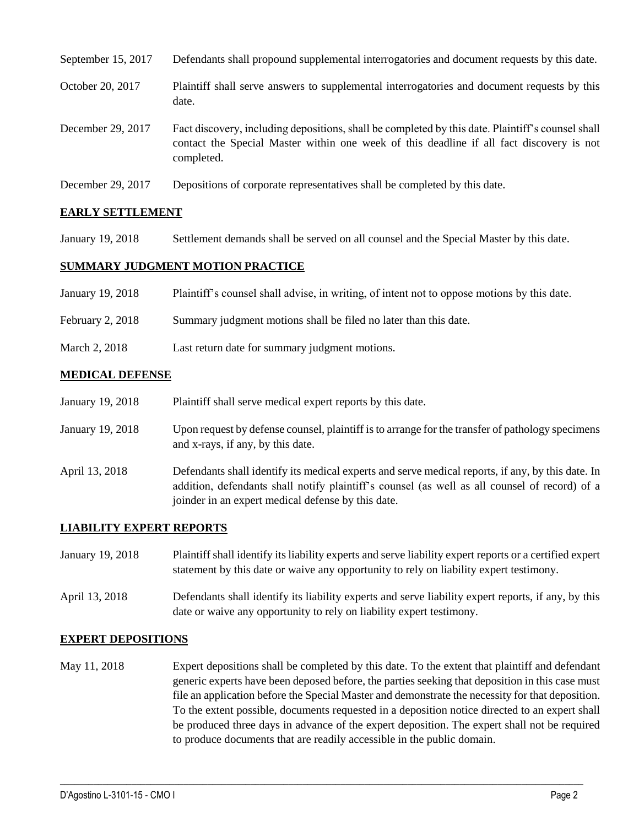| September 15, 2017 | Defendants shall propound supplemental interrogatories and document requests by this date.                                                                                                                  |
|--------------------|-------------------------------------------------------------------------------------------------------------------------------------------------------------------------------------------------------------|
| October 20, 2017   | Plaintiff shall serve answers to supplemental interrogatories and document requests by this<br>date.                                                                                                        |
| December 29, 2017  | Fact discovery, including depositions, shall be completed by this date. Plaintiff's counsel shall<br>contact the Special Master within one week of this deadline if all fact discovery is not<br>completed. |
| December 29, 2017  | Depositions of corporate representatives shall be completed by this date.                                                                                                                                   |

# **EARLY SETTLEMENT**

January 19, 2018 Settlement demands shall be served on all counsel and the Special Master by this date.

#### **SUMMARY JUDGMENT MOTION PRACTICE**

| January 19, 2018 | Plaintiff's counsel shall advise, in writing, of intent not to oppose motions by this date. |
|------------------|---------------------------------------------------------------------------------------------|
| February 2, 2018 | Summary judgment motions shall be filed no later than this date.                            |
| March 2, 2018    | Last return date for summary judgment motions.                                              |

#### **MEDICAL DEFENSE**

January 19, 2018 Plaintiff shall serve medical expert reports by this date.

- January 19, 2018 Upon request by defense counsel, plaintiff is to arrange for the transfer of pathology specimens and x-rays, if any, by this date.
- April 13, 2018 Defendants shall identify its medical experts and serve medical reports, if any, by this date. In addition, defendants shall notify plaintiff's counsel (as well as all counsel of record) of a joinder in an expert medical defense by this date.

# **LIABILITY EXPERT REPORTS**

| January 19, 2018 | Plaintiff shall identify its liability experts and serve liability expert reports or a certified expert<br>statement by this date or waive any opportunity to rely on liability expert testimony. |
|------------------|---------------------------------------------------------------------------------------------------------------------------------------------------------------------------------------------------|
| April 13, 2018   | Defendants shall identify its liability experts and serve liability expert reports, if any, by this<br>date or waive any opportunity to rely on liability expert testimony.                       |

# **EXPERT DEPOSITIONS**

May 11, 2018 Expert depositions shall be completed by this date. To the extent that plaintiff and defendant generic experts have been deposed before, the parties seeking that deposition in this case must file an application before the Special Master and demonstrate the necessity for that deposition. To the extent possible, documents requested in a deposition notice directed to an expert shall be produced three days in advance of the expert deposition. The expert shall not be required to produce documents that are readily accessible in the public domain.

 $\_$  ,  $\_$  ,  $\_$  ,  $\_$  ,  $\_$  ,  $\_$  ,  $\_$  ,  $\_$  ,  $\_$  ,  $\_$  ,  $\_$  ,  $\_$  ,  $\_$  ,  $\_$  ,  $\_$  ,  $\_$  ,  $\_$  ,  $\_$  ,  $\_$  ,  $\_$  ,  $\_$  ,  $\_$  ,  $\_$  ,  $\_$  ,  $\_$  ,  $\_$  ,  $\_$  ,  $\_$  ,  $\_$  ,  $\_$  ,  $\_$  ,  $\_$  ,  $\_$  ,  $\_$  ,  $\_$  ,  $\_$  ,  $\_$  ,